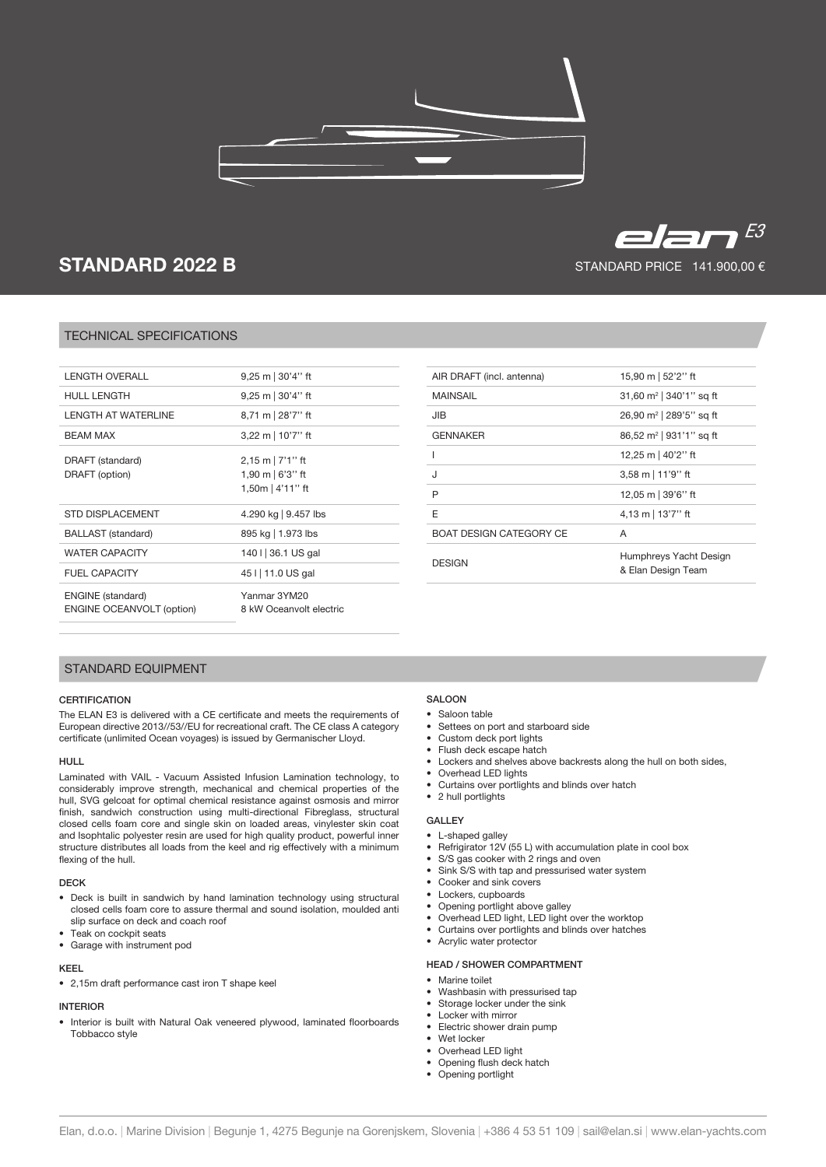

# STANDARD 2022 B

# TECHNICAL SPECIFICATIONS

| <b>LENGTH OVERALL</b>                                        | $9,25 \text{ m}$ 30'4" ft                                            |
|--------------------------------------------------------------|----------------------------------------------------------------------|
| <b>HULL LENGTH</b>                                           | $9,25 \text{ m}$ 30'4" ft                                            |
| <b>LENGTH AT WATERLINE</b>                                   | 8,71 m 28'7" ft                                                      |
| <b>BEAM MAX</b>                                              | 3,22 m   10'7" ft                                                    |
| DRAFT (standard)<br>DRAFT (option)                           | $2,15$ m   7'1" ft<br>1,90 m $\frac{673}{1}$ ft<br>1,50m $ 4'11"$ ft |
| <b>STD DISPLACEMENT</b>                                      | 4.290 kg   9.457 lbs                                                 |
| <b>BALLAST</b> (standard)                                    | 895 kg   1.973 lbs                                                   |
| <b>WATER CAPACITY</b>                                        | 140 I 36.1 US gal                                                    |
| <b>FUEL CAPACITY</b>                                         | 45 I   11.0 US gal                                                   |
| <b>ENGINE</b> (standard)<br><b>ENGINE OCEANVOLT (option)</b> | Yanmar 3YM20<br>8 kW Oceanvolt electric                              |

| AIR DRAFT (incl. antenna)      | 15,90 m   52'2" ft                           |
|--------------------------------|----------------------------------------------|
| MAINSAIL                       | 31,60 $m^2$   340'1" sq ft                   |
| JIB                            | 26,90 m <sup>2</sup>   289'5" sq ft          |
| <b>GENNAKER</b>                | 86,52 m <sup>2</sup>   931'1" sq ft          |
| ı                              | 12,25 m   40'2" ft                           |
| ۱.                             | 3,58 m   11'9" ft                            |
| P                              | 12,05 m   39'6" ft                           |
| F                              | 4,13 m   13'7" ft                            |
| <b>BOAT DESIGN CATEGORY CE</b> | A                                            |
| <b>DESIGN</b>                  | Humphreys Yacht Design<br>& Elan Design Team |

# STANDARD EQUIPMENT

#### **CERTIFICATION**

The ELAN E3 is delivered with a CE certificate and meets the requirements of European directive 2013//53//EU for recreational craft. The CE class A category certificate (unlimited Ocean voyages) is issued by Germanischer Lloyd.

#### HULL

Laminated with VAIL - Vacuum Assisted Infusion Lamination technology, to considerably improve strength, mechanical and chemical properties of the hull, SVG gelcoat for optimal chemical resistance against osmosis and mirror finish, sandwich construction using multi-directional Fibreglass, structural closed cells foam core and single skin on loaded areas, vinylester skin coat and Isophtalic polyester resin are used for high quality product, powerful inner structure distributes all loads from the keel and rig effectively with a minimum flexing of the hull.

#### DECK

- Deck is built in sandwich by hand lamination technology using structural closed cells foam core to assure thermal and sound isolation, moulded anti slip surface on deck and coach roof
- Teak on cockpit seats
- Garage with instrument pod

## KEEL

• 2,15m draft performance cast iron T shape keel

# INTERIOR

• Interior is built with Natural Oak veneered plywood, laminated floorboards Tobbacco style

# SALOON

- Saloon table
- Settees on port and starboard side
- Custom deck port lights
- Flush deck escape hatch
- Lockers and shelves above backrests along the hull on both sides,
- Overhead LED lights
- Curtains over portlights and blinds over hatch • 2 hull portlights

- GALLEY
- L-shaped galley Refrigirator 12V (55 L) with accumulation plate in cool box
- S/S gas cooker with 2 rings and oven
- Sink S/S with tap and pressurised water system
- Cooker and sink covers
- Lockers, cupboards
- Opening portlight above galley
- Overhead LED light, LED light over the worktop
- Curtains over portlights and blinds over hatches
- Acrylic water protector

# HEAD / SHOWER COMPARTMENT

- Marine toilet
- Washbasin with pressurised tap
- Storage locker under the sink
- Locker with mirror
- Electric shower drain pump
- Wet locker
- Overhead LED light
- Opening flush deck hatch
- Opening portlight



STANDARD PRICE 141.900,00 €